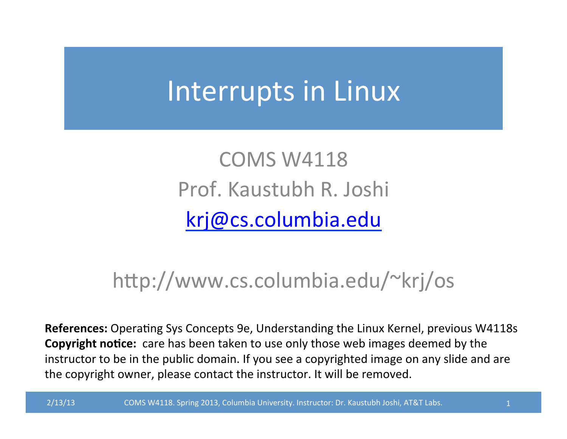## Interrupts in Linux

COMS W4118 Prof. Kaustubh R. Joshi krj@cs.columbia.edu

#### http://www.cs.columbia.edu/~krj/os

**References:** Operating Sys Concepts 9e, Understanding the Linux Kernel, previous W4118s **Copyright notice:** care has been taken to use only those web images deemed by the instructor to be in the public domain. If you see a copyrighted image on any slide and are the copyright owner, please contact the instructor. It will be removed.

2/13/13 COMS W4118. Spring 2013, Columbia University. Instructor: Dr. Kaustubh Joshi, AT&T Labs. 2014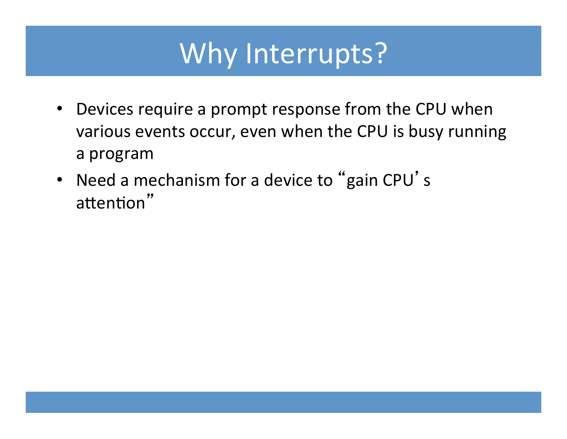## Why Interrupts?

- Devices require a prompt response from the CPU when various events occur, even when the CPU is busy running a program
- Need a mechanism for a device to "gain CPU's attention"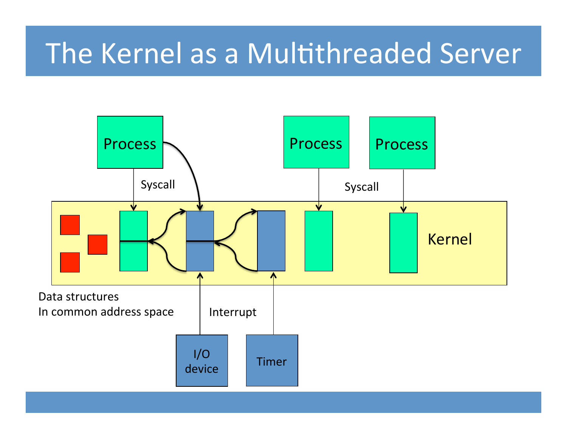## The Kernel as a Multithreaded Server

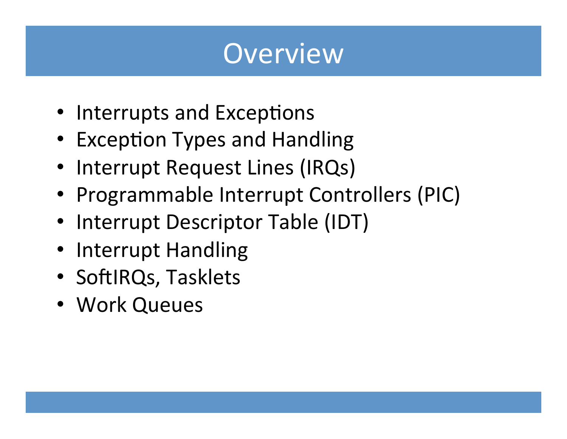#### Overview

- Interrupts and Exceptions
- Exception Types and Handling
- Interrupt Request Lines (IRQs)
- Programmable Interrupt Controllers (PIC)
- Interrupt Descriptor Table (IDT)
- Interrupt Handling
- SoftIRQs, Tasklets
- Work Queues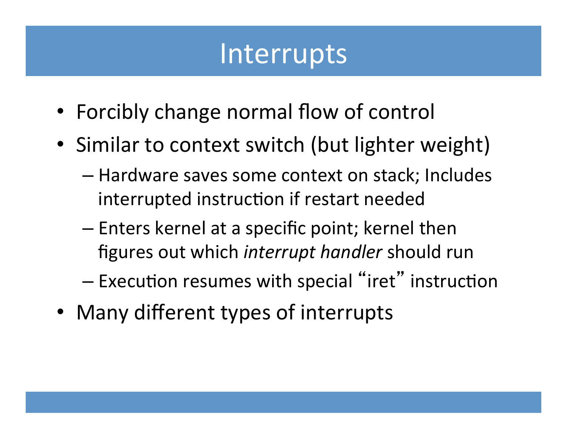#### Interrupts

- Forcibly change normal flow of control
- Similar to context switch (but lighter weight)
	- $-$  Hardware saves some context on stack; Includes interrupted instruction if restart needed
	- $-$  Enters kernel at a specific point; kernel then figures out which *interrupt handler* should run
	- $-$  Execution resumes with special "iret" instruction
- Many different types of interrupts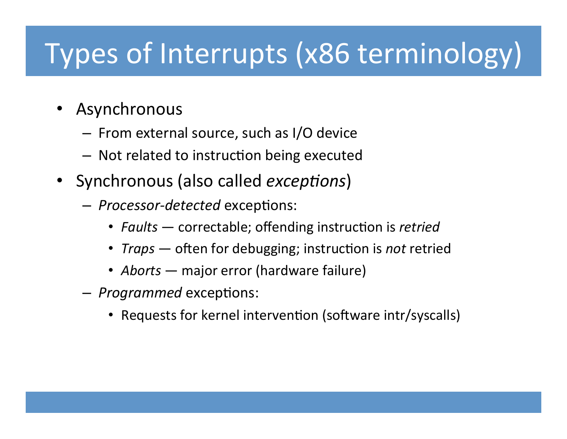## Types of Interrupts (x86 terminology)

- Asynchronous
	- $-$  From external source, such as I/O device
	- Not related to instruction being executed
- Synchronous (also called *exceptions*)
	- $-$  *Processor-detected* exceptions:
		- *Faults* correctable; offending instruction is *retried*
		- *Traps* often for debugging; instruction is *not* retried
		- *Aborts* major error (hardware failure)
	- $-$  *Programmed* exceptions:
		- Requests for kernel intervention (software intr/syscalls)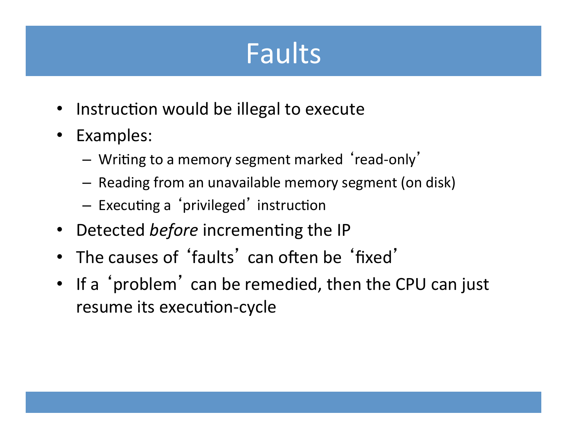## Faults

- Instruction would be illegal to execute
- Examples:
	- Writing to a memory segment marked 'read-only'
	- $-$  Reading from an unavailable memory segment (on disk)
	- Executing a 'privileged' instruction
- Detected *before* incrementing the IP
- The causes of 'faults' can often be 'fixed'
- If a 'problem' can be remedied, then the CPU can just resume its execution-cycle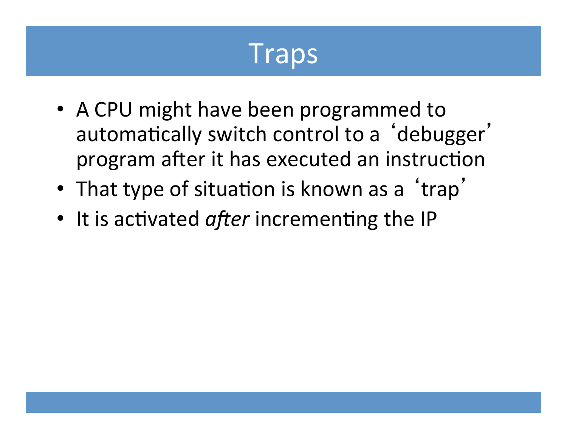#### Traps

- A CPU might have been programmed to automatically switch control to a 'debugger' program after it has executed an instruction
- That type of situation is known as a 'trap'
- It is activated *after* incrementing the IP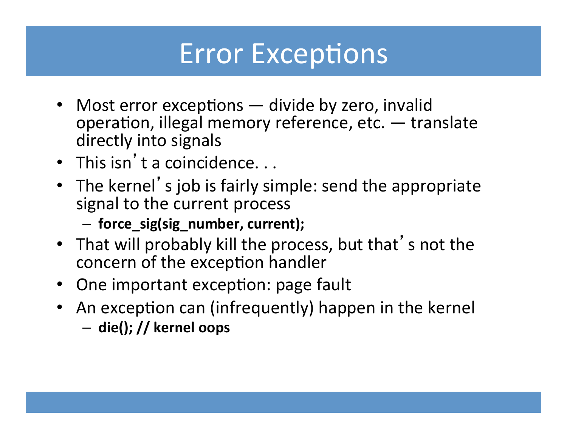#### **Error Exceptions**

- Most error exceptions divide by zero, invalid operation, illegal memory reference, etc.  $-$  translate directly into signals
- This isn't a coincidence...
- The kernel's job is fairly simple: send the appropriate signal to the current process
	- $-$  force\_sig(sig\_number, current);
- That will probably kill the process, but that's not the concern of the exception handler
- One important exception: page fault
- An exception can (infrequently) happen in the kernel
	- $-$  die(); // kernel oops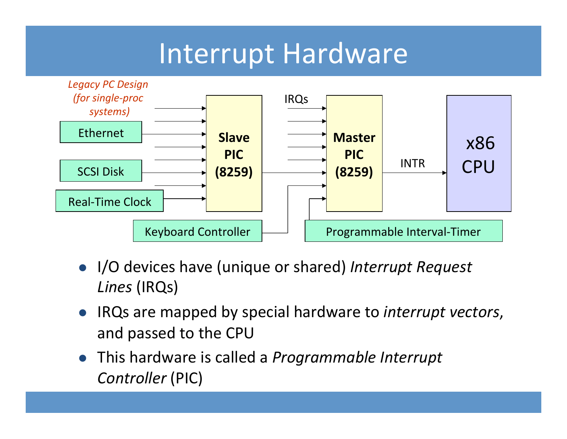#### Interrupt Hardware



- I/O devices have (unique or shared) Interrupt Request *Lines* (IRQs)
- **.** IRQs are mapped by special hardware to *interrupt vectors*, and passed to the CPU
- **•** This hardware is called a *Programmable Interrupt Controller* (PIC)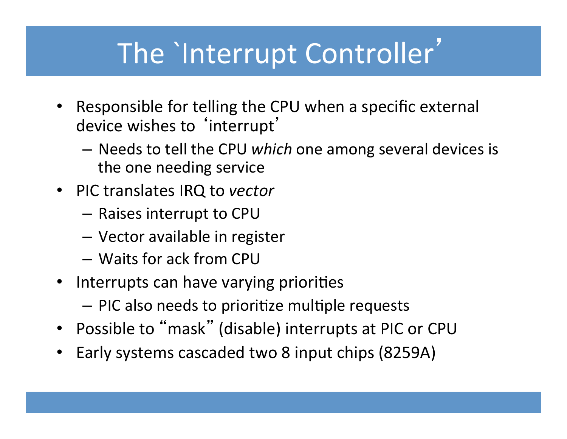## The `Interrupt Controller'

- Responsible for telling the CPU when a specific external device wishes to 'interrupt'
	- $-$  Needs to tell the CPU *which* one among several devices is the one needing service
- PIC translates IRQ to *vector* 
	- $-$  Raises interrupt to CPU
	- Vector available in register
	- $-$  Waits for ack from CPU
- Interrupts can have varying priorities
	- $-$  PIC also needs to prioritize multiple requests
- Possible to "mask" (disable) interrupts at PIC or CPU
- Early systems cascaded two 8 input chips (8259A)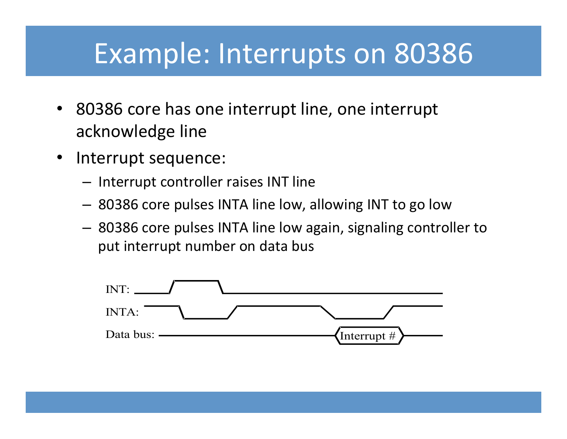#### Example: Interrupts on 80386

- 80386 core has one interrupt line, one interrupt acknowledge line
- Interrupt sequence:
	- $-$  Interrupt controller raises INT line
	- 80386 core pulses INTA line low, allowing INT to go low
	- $-$  80386 core pulses INTA line low again, signaling controller to put interrupt number on data bus

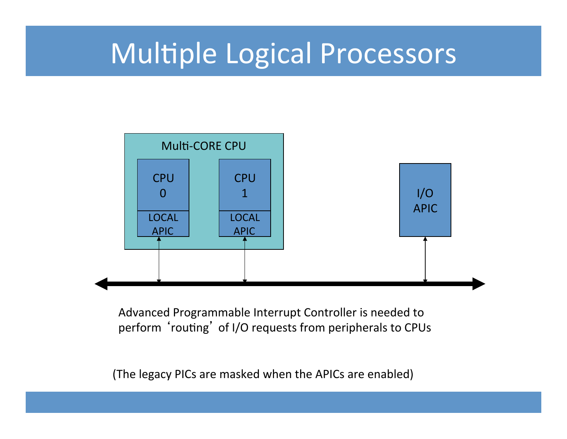#### Multiple Logical Processors



Advanced Programmable Interrupt Controller is needed to perform 'routing' of I/O requests from peripherals to CPUs

(The legacy PICs are masked when the APICs are enabled)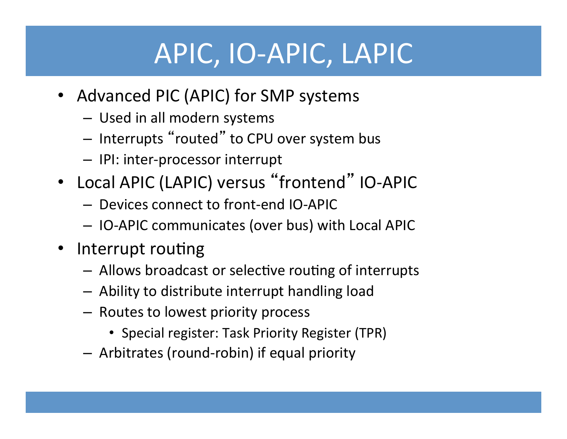## APIC, IO-APIC, LAPIC

- Advanced PIC (APIC) for SMP systems
	- Used in all modern systems
	- $-$  Interrupts "routed" to CPU over system bus
	- $-$  IPI: inter-processor interrupt
- Local APIC (LAPIC) versus "frontend" IO-APIC
	- $-$  Devices connect to front-end IO-APIC
	- IO-APIC communicates (over bus) with Local APIC
- Interrupt routing
	- $-$  Allows broadcast or selective routing of interrupts
	- $-$  Ability to distribute interrupt handling load
	- $-$  Routes to lowest priority process
		- Special register: Task Priority Register (TPR)
	- $-$  Arbitrates (round-robin) if equal priority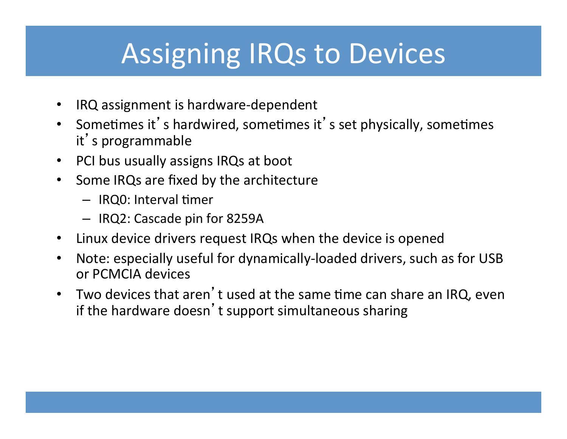## Assigning IRQs to Devices

- IRQ assignment is hardware-dependent
- Sometimes it's hardwired, sometimes it's set physically, sometimes it's programmable
- PCI bus usually assigns IRQs at boot
- Some IRQs are fixed by the architecture
	- $-$  IRQ0: Interval timer
	- IRQ2: Cascade pin for 8259A
- Linux device drivers request IRQs when the device is opened
- Note: especially useful for dynamically-loaded drivers, such as for USB or PCMCIA devices
- Two devices that aren't used at the same time can share an IRQ, even if the hardware doesn't support simultaneous sharing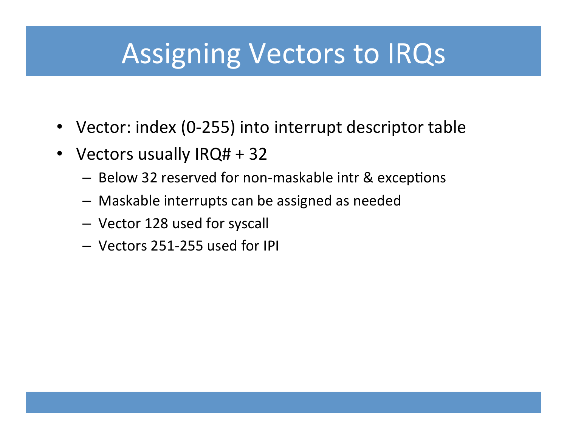#### Assigning Vectors to IRQs

- Vector: index (0-255) into interrupt descriptor table
- Vectors usually IRQ# + 32
	- Below 32 reserved for non-maskable intr & exceptions
	- $-$  Maskable interrupts can be assigned as needed
	- Vector 128 used for syscall
	- Vectors 251-255 used for IPI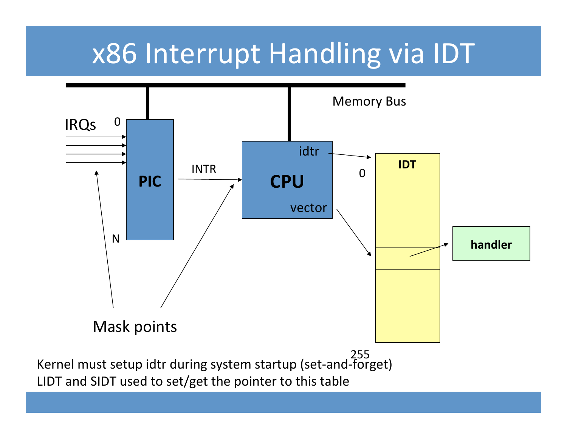## x86 Interrupt Handling via IDT



LIDT and SIDT used to set/get the pointer to this table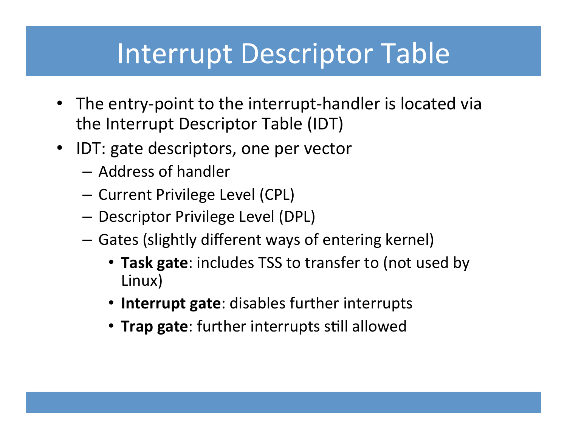#### Interrupt Descriptor Table

- The entry-point to the interrupt-handler is located via the Interrupt Descriptor Table (IDT)
- IDT: gate descriptors, one per vector
	- Address of handler
	- Current Privilege Level (CPL)
	- Descriptor Privilege Level (DPL)
	- $-$  Gates (slightly different ways of entering kernel)
		- Task gate: includes TSS to transfer to (not used by Linux)
		- **Interrupt gate:** disables further interrupts
		- **Trap gate**: further interrupts still allowed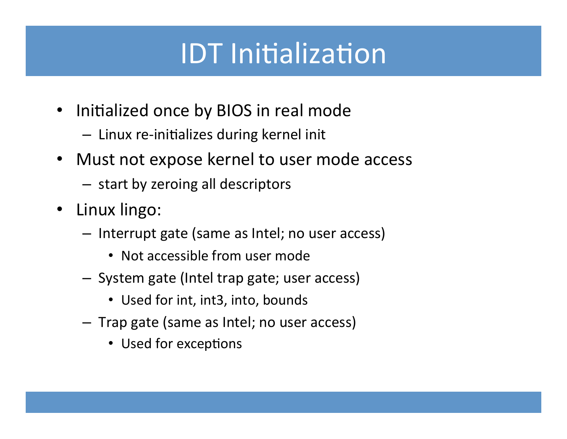## **IDT Initialization**

- Initialized once by BIOS in real mode
	- $-$  Linux re-initializes during kernel init
- Must not expose kernel to user mode access
	- $-$  start by zeroing all descriptors
- Linux lingo:
	- $-$  Interrupt gate (same as Intel; no user access)
		- Not accessible from user mode
	- $-$  System gate (Intel trap gate; user access)
		- Used for int, int3, into, bounds
	- $-$  Trap gate (same as Intel; no user access)
		- Used for exceptions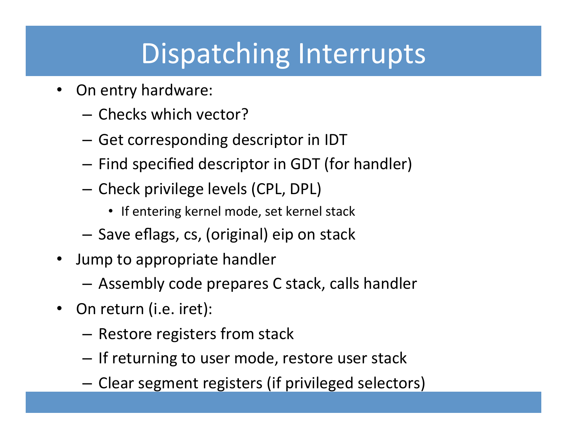## Dispatching Interrupts

- On entry hardware:
	- Checks which vector?
	- $-$  Get corresponding descriptor in IDT
	- Find specified descriptor in GDT (for handler)
	- Check privilege levels (CPL, DPL)
		- If entering kernel mode, set kernel stack
	- $-$  Save eflags, cs, (original) eip on stack
- Jump to appropriate handler
	- $-$  Assembly code prepares C stack, calls handler
- On return (i.e. iret):
	- Restore registers from stack
	- $-$  If returning to user mode, restore user stack
	- $-$  Clear segment registers (if privileged selectors)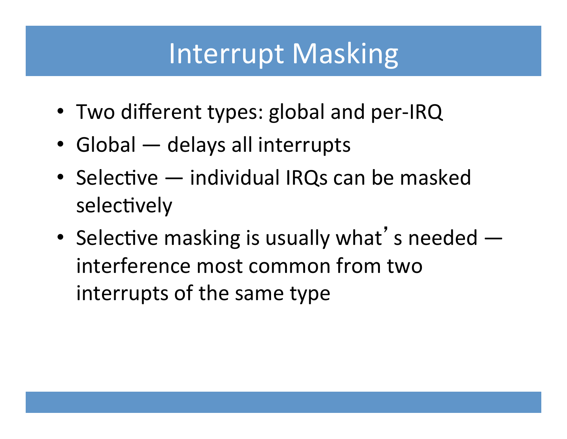#### **Interrupt Masking**

- Two different types: global and per-IRQ
- Global  $-$  delays all interrupts
- Selective  $-$  individual IRQs can be masked selectively
- Selective masking is usually what's needed  $$ interference most common from two interrupts of the same type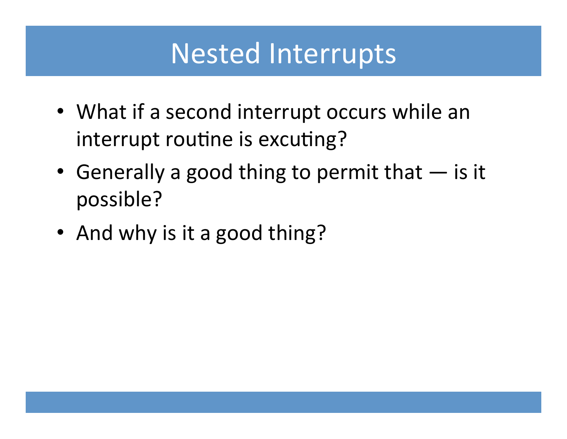#### **Nested Interrupts**

- What if a second interrupt occurs while an interrupt routine is excuting?
- Generally a good thing to permit that  $-$  is it possible?
- And why is it a good thing?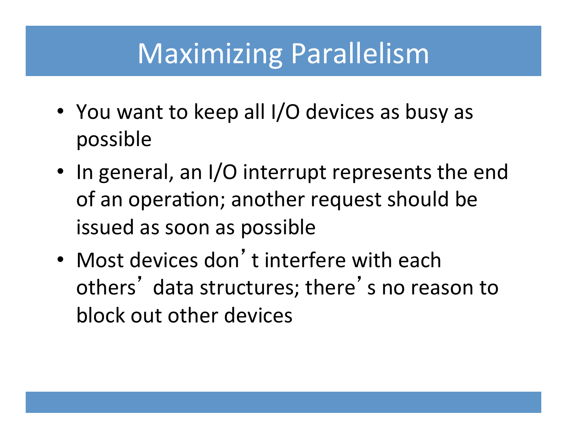#### Maximizing Parallelism

- You want to keep all I/O devices as busy as possible
- In general, an I/O interrupt represents the end of an operation; another request should be issued as soon as possible
- Most devices don't interfere with each others' data structures; there's no reason to block out other devices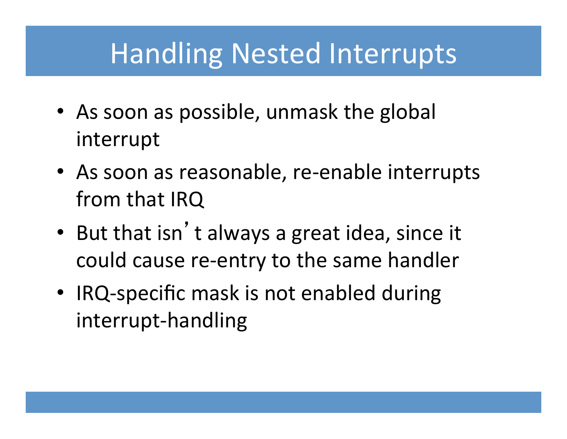#### **Handling Nested Interrupts**

- As soon as possible, unmask the global interrupt
- As soon as reasonable, re-enable interrupts from that IRQ
- But that isn't always a great idea, since it could cause re-entry to the same handler
- IRQ-specific mask is not enabled during interrupt-handling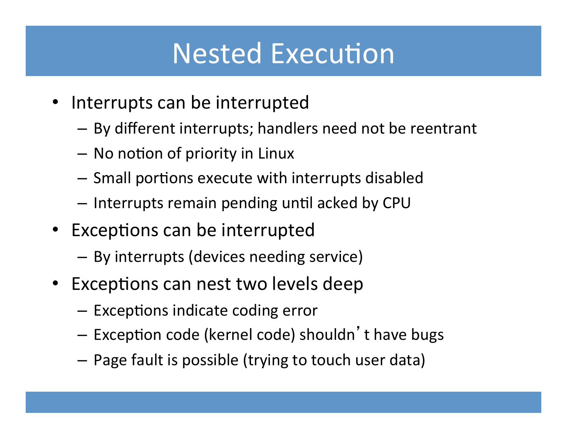#### **Nested Execution**

- Interrupts can be interrupted
	- $-$  By different interrupts; handlers need not be reentrant
	- No notion of priority in Linux
	- $-$  Small portions execute with interrupts disabled
	- $-$  Interrupts remain pending until acked by CPU
- Exceptions can be interrupted
	- $-$  By interrupts (devices needing service)
- Exceptions can nest two levels deep
	- $-$  Exceptions indicate coding error
	- Exception code (kernel code) shouldn't have bugs
	- $-$  Page fault is possible (trying to touch user data)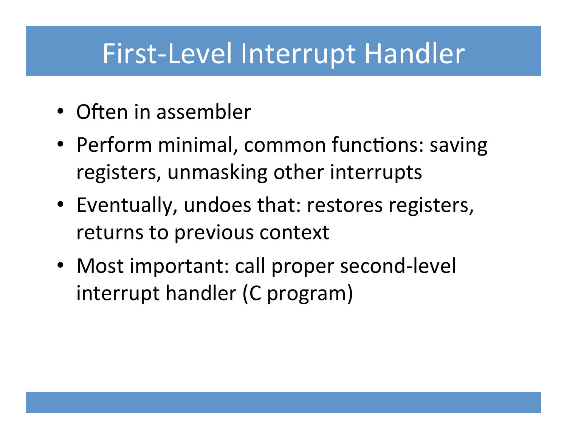#### First-Level Interrupt Handler

- Often in assembler
- Perform minimal, common functions: saving registers, unmasking other interrupts
- Eventually, undoes that: restores registers, returns to previous context
- Most important: call proper second-level interrupt handler (C program)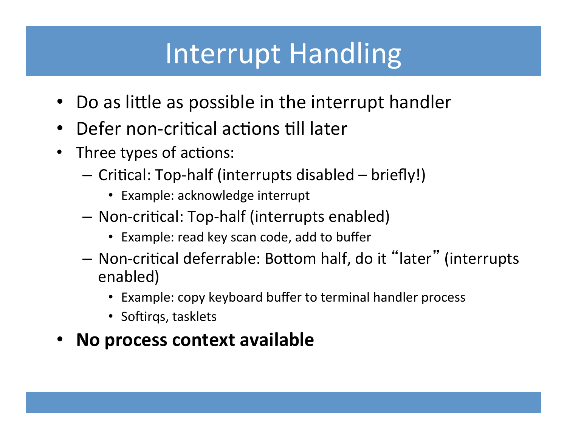## Interrupt Handling

- Do as little as possible in the interrupt handler
- Defer non-critical actions till later
- Three types of actions:
	- $-$  Critical: Top-half (interrupts disabled  $-$  briefly!)
		- Example: acknowledge interrupt
	- $-$  Non-critical: Top-half (interrupts enabled)
		- Example: read key scan code, add to buffer
	- Non-critical deferrable: Bottom half, do it "later" (interrupts enabled)
		- Example: copy keyboard buffer to terminal handler process
		- Softirgs, tasklets
- **No process context available**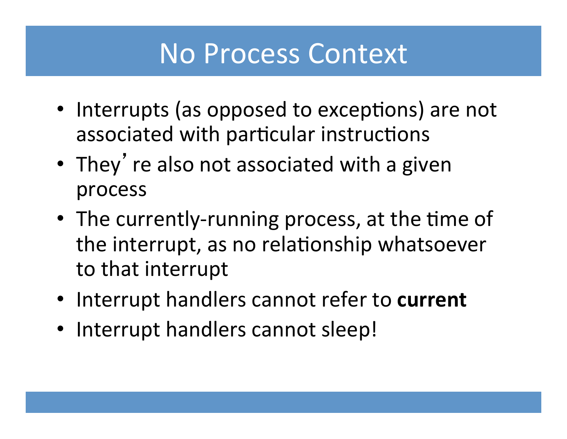#### No Process Context

- Interrupts (as opposed to exceptions) are not associated with particular instructions
- They' re also not associated with a given process
- The currently-running process, at the time of the interrupt, as no relationship whatsoever to that interrupt
- Interrupt handlers cannot refer to current
- Interrupt handlers cannot sleep!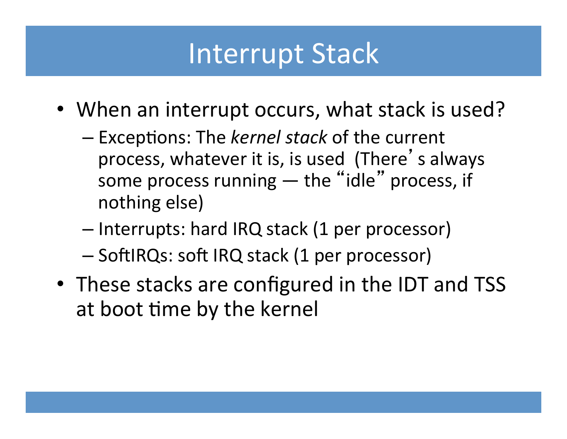#### **Interrupt Stack**

- When an interrupt occurs, what stack is used?
	- $-$  Exceptions: The *kernel stack* of the current process, whatever it is, is used (There's always some process running  $-$  the "idle" process, if nothing else)
	- Interrupts: hard IRQ stack (1 per processor)
	- SoftIRQs: soft IRQ stack (1 per processor)
- These stacks are configured in the IDT and TSS at boot time by the kernel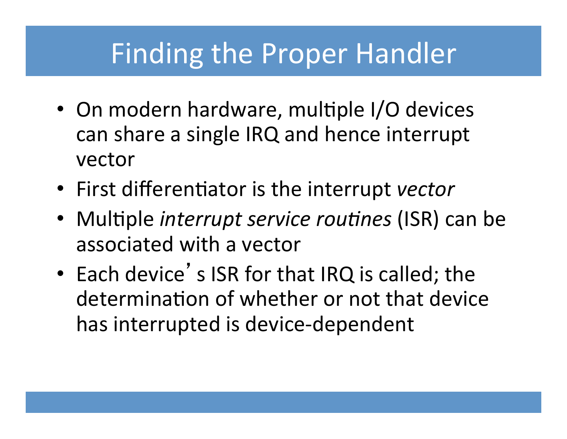#### Finding the Proper Handler

- On modern hardware, multiple I/O devices can share a single IRQ and hence interrupt vector
- First differentiator is the interrupt vector
- Multiple *interrupt service routines* (ISR) can be associated with a vector
- Each device's ISR for that IRQ is called; the determination of whether or not that device has interrupted is device-dependent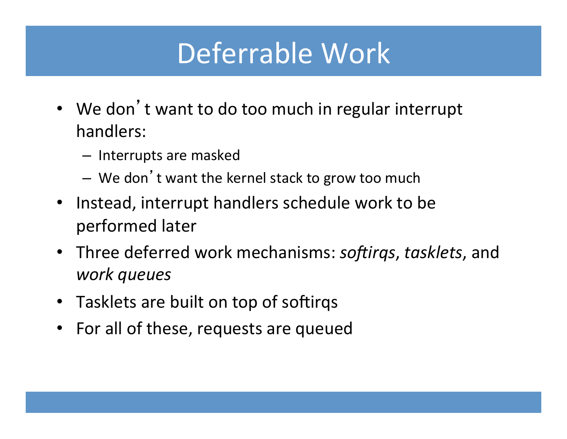## Deferrable Work

- We don't want to do too much in regular interrupt handlers:
	- $-$  Interrupts are masked
	- We don't want the kernel stack to grow too much
- Instead, interrupt handlers schedule work to be performed later
- Three deferred work mechanisms: softirqs, tasklets, and *work queues*
- Tasklets are built on top of softirgs
- For all of these, requests are queued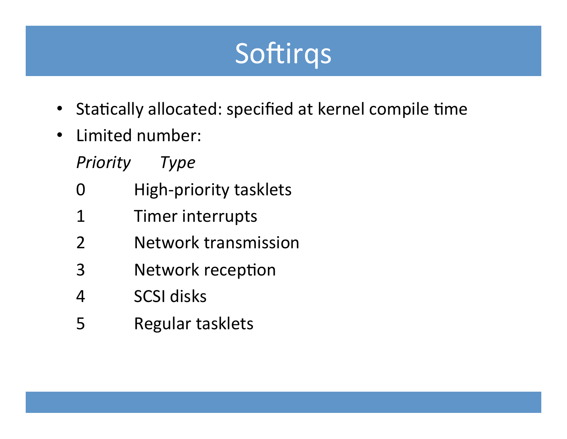## Softirgs

- Statically allocated: specified at kernel compile time
- Limited number:
	- *Priority Type*
	- 0 High-priority tasklets
	- 1 Timer interrupts
	- 2 Network transmission
	- 3 Network reception
	- 4 SCSI disks
	- 5 Regular tasklets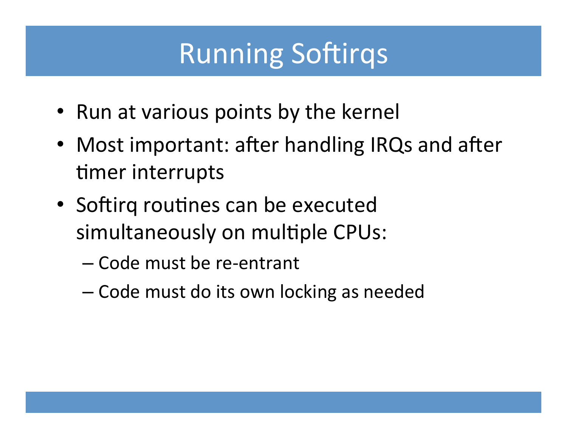## Running Softirqs

- Run at various points by the kernel
- Most important: after handling IRQs and after timer interrupts
- Softirq routines can be executed simultaneously on multiple CPUs:
	- Code must be re-entrant
	- Code must do its own locking as needed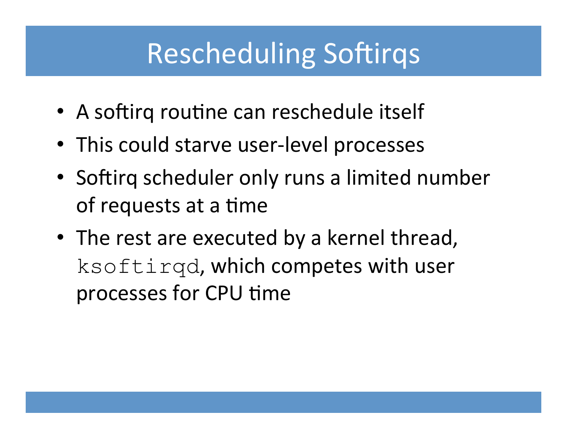## **Rescheduling Softirqs**

- A softirg routine can reschedule itself
- This could starve user-level processes
- Softirq scheduler only runs a limited number of requests at a time
- The rest are executed by a kernel thread, ksoftirgd, which competes with user processes for CPU time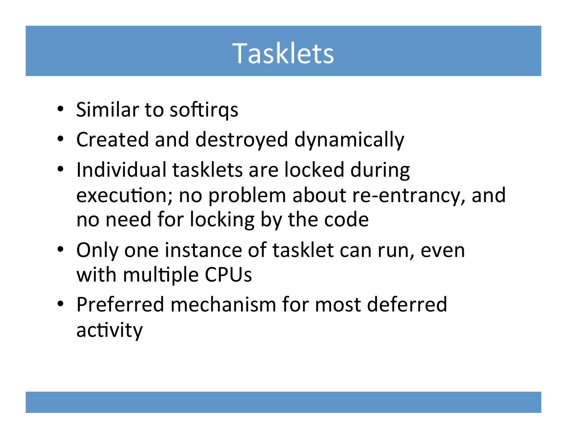## Tasklets

- Similar to softirgs
- Created and destroyed dynamically
- Individual tasklets are locked during execution; no problem about re-entrancy, and no need for locking by the code
- Only one instance of tasklet can run, even with multiple CPUs
- Preferred mechanism for most deferred activity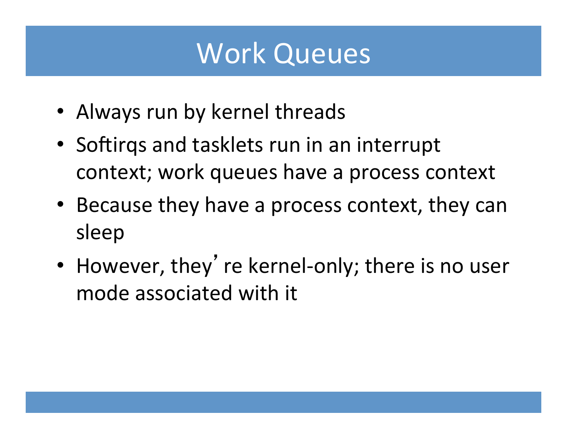#### Work Queues

- Always run by kernel threads
- Softirqs and tasklets run in an interrupt context; work queues have a process context
- Because they have a process context, they can sleep
- However, they' re kernel-only; there is no user mode associated with it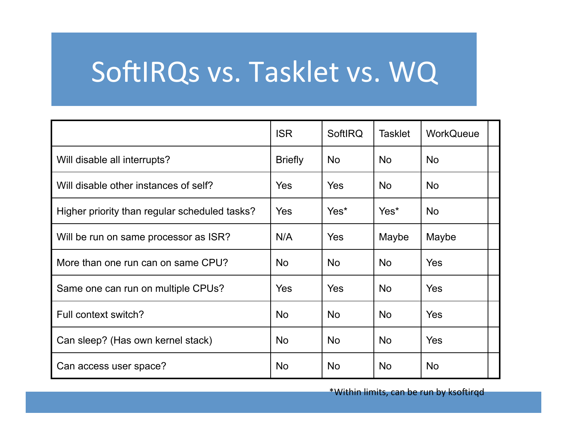## SoftIRQs vs. Tasklet vs. WQ

|                                               | <b>ISR</b>     | <b>SoftIRQ</b> | <b>Tasklet</b> | <b>WorkQueue</b> |  |
|-----------------------------------------------|----------------|----------------|----------------|------------------|--|
| Will disable all interrupts?                  | <b>Briefly</b> | <b>No</b>      | <b>No</b>      | <b>No</b>        |  |
| Will disable other instances of self?         | <b>Yes</b>     | Yes            | <b>No</b>      | <b>No</b>        |  |
| Higher priority than regular scheduled tasks? | <b>Yes</b>     | Yes*           | Yes*           | <b>No</b>        |  |
| Will be run on same processor as ISR?         | N/A            | Yes            | Maybe          | Maybe            |  |
| More than one run can on same CPU?            | <b>No</b>      | <b>No</b>      | <b>No</b>      | <b>Yes</b>       |  |
| Same one can run on multiple CPUs?            | Yes            | Yes            | <b>No</b>      | Yes              |  |
| Full context switch?                          | <b>No</b>      | <b>No</b>      | <b>No</b>      | Yes              |  |
| Can sleep? (Has own kernel stack)             | No.            | <b>No</b>      | <b>No</b>      | Yes              |  |
| Can access user space?                        | <b>No</b>      | <b>No</b>      | <b>No</b>      | <b>No</b>        |  |

\*Within limits, can be run by ksoftirqd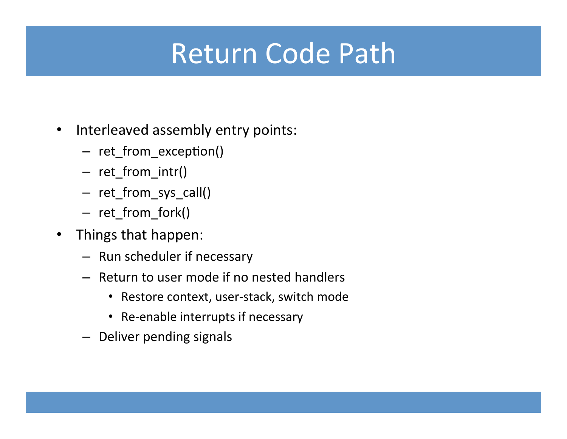## Return Code Path

- Interleaved assembly entry points:
	- ret\_from\_exception()
	- ret\_from\_intr()
	- ret\_from\_sys\_call()
	- ret\_from\_fork()
- Things that happen:
	- Run scheduler if necessary
	- $-$  Return to user mode if no nested handlers
		- Restore context, user-stack, switch mode
		- Re-enable interrupts if necessary
	- Deliver pending signals